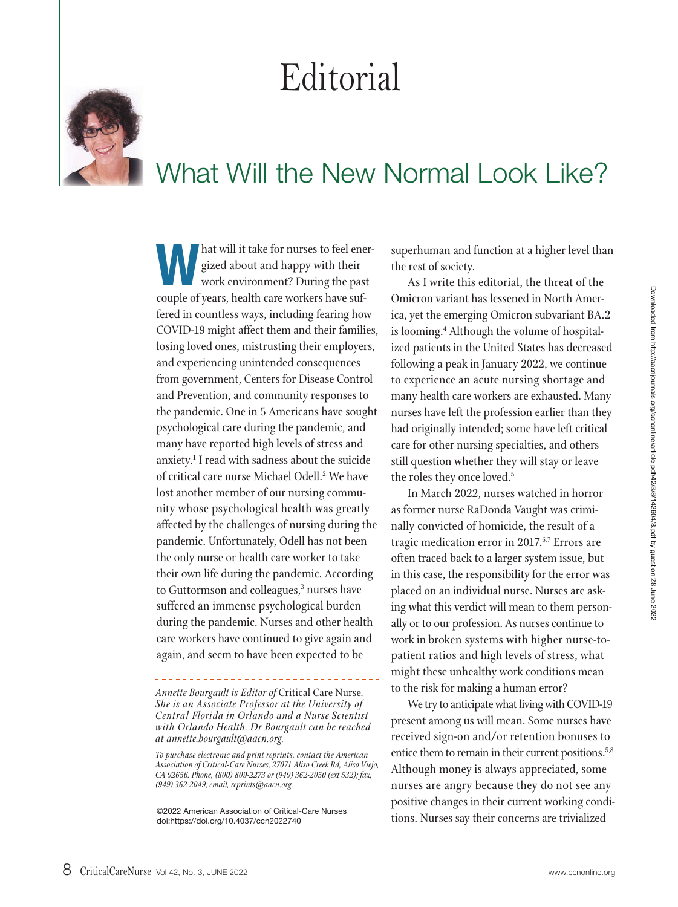## Editorial



## What Will the New Normal Look Like?

Mat will it take for nurses to feel ener-<br>gized about and happy with their<br>work environment? During the past<br>couple of years, health care workers have suf-<br>fered in countless ways, including fearing how<br>COVID-19 might affe gized about and happy with their work environment? During the past couple of years, health care workers have suffered in countless ways, including fearing how losing loved ones, mistrusting their employers, and experiencing unintended consequences from government, Centers for Disease Control and Prevention, and community responses to the pandemic. One in 5 Americans have sought psychological care during the pandemic, and many have reported high levels of stress and anxiety.1 I read with sadness about the suicide of critical care nurse Michael Odell.<sup>2</sup> We have lost another member of our nursing community whose psychological health was greatly affected by the challenges of nursing during the pandemic. Unfortunately, Odell has not been the only nurse or health care worker to take their own life during the pandemic. According to Guttormson and colleagues,<sup>3</sup> nurses have suffered an immense psychological burden during the pandemic. Nurses and other health care workers have continued to give again and again, and seem to have been expected to be

superhuman and function at a higher level than the rest of society.

As I write this editorial, the threat of the Omicron variant has lessened in North America, yet the emerging Omicron subvariant BA.2 is looming.<sup>4</sup> Although the volume of hospitalized patients in the United States has decreased following a peak in January 2022, we continue to experience an acute nursing shortage and many health care workers are exhausted. Many nurses have left the profession earlier than they had originally intended; some have left critical care for other nursing specialties, and others still question whether they will stay or leave the roles they once loved.<sup>5</sup>

In March 2022, nurses watched in horror as former nurse RaDonda Vaught was criminally convicted of homicide, the result of a tragic medication error in 2017.<sup>6,7</sup> Errors are often traced back to a larger system issue, but in this case, the responsibility for the error was placed on an individual nurse. Nurses are asking what this verdict will mean to them personally or to our profession. As nurses continue to work in broken systems with higher nurse-topatient ratios and high levels of stress, what might these unhealthy work conditions mean to the risk for making a human error?

We try to anticipate what living with COVID-19 present among us will mean. Some nurses have received sign-on and/or retention bonuses to entice them to remain in their current positions.<sup>5,8</sup> Although money is always appreciated, some nurses are angry because they do not see any positive changes in their current working conditions. Nurses say their concerns are trivialized

*Annette Bourgault is Editor of* Critical Care Nurse*. She is an Associate Professor at the University of Central Florida in Orlando and a Nurse Scientist with Orlando Health. Dr Bourgault can be reached at annette.bourgault@aacn.org.*

*To purchase electronic and print reprints, contact the American Association of Critical-Care Nurses, 27071 Aliso Creek Rd, Aliso Viejo, CA 92656. Phone, (800) 809-2273 or (949) 362-2050 (ext 532); fax, (949) 362-2049; email, reprints@aacn.org.*

<sup>©2022</sup> American Association of Critical-Care Nurses doi:https://doi.org/10.4037/ccn2022740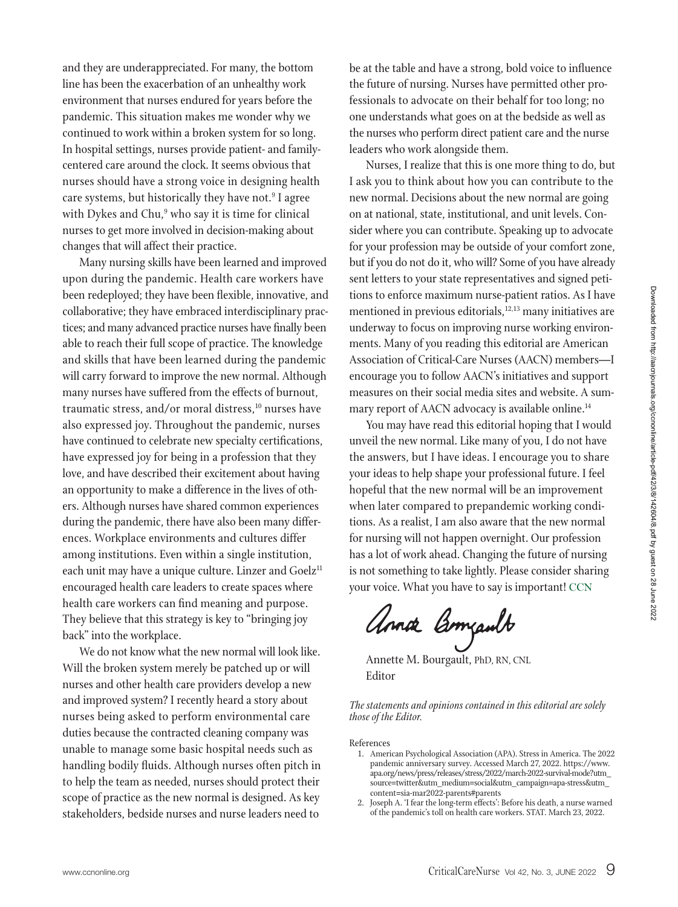and they are underappreciated. For many, the bottom line has been the exacerbation of an unhealthy work environment that nurses endured for years before the pandemic. This situation makes me wonder why we continued to work within a broken system for so long. In hospital settings, nurses provide patient- and familycentered care around the clock. It seems obvious that nurses should have a strong voice in designing health care systems, but historically they have not.<sup>9</sup> I agree with Dykes and Chu," who say it is time for clinical nurses to get more involved in decision-making about changes that will affect their practice.

Many nursing skills have been learned and improved upon during the pandemic. Health care workers have been redeployed; they have been flexible, innovative, and collaborative; they have embraced interdisciplinary practices; and many advanced practice nurses have finally been able to reach their full scope of practice. The knowledge and skills that have been learned during the pandemic will carry forward to improve the new normal. Although many nurses have suffered from the effects of burnout, traumatic stress, and/or moral distress,<sup>10</sup> nurses have also expressed joy. Throughout the pandemic, nurses have continued to celebrate new specialty certifications, have expressed joy for being in a profession that they love, and have described their excitement about having an opportunity to make a difference in the lives of others. Although nurses have shared common experiences during the pandemic, there have also been many differences. Workplace environments and cultures differ among institutions. Even within a single institution, each unit may have a unique culture. Linzer and Goelz<sup>11</sup> encouraged health care leaders to create spaces where health care workers can find meaning and purpose. They believe that this strategy is key to "bringing joy back" into the workplace.

We do not know what the new normal will look like. Will the broken system merely be patched up or will nurses and other health care providers develop a new and improved system? I recently heard a story about nurses being asked to perform environmental care duties because the contracted cleaning company was unable to manage some basic hospital needs such as handling bodily fluids. Although nurses often pitch in to help the team as needed, nurses should protect their scope of practice as the new normal is designed. As key stakeholders, bedside nurses and nurse leaders need to

be at the table and have a strong, bold voice to influence the future of nursing. Nurses have permitted other professionals to advocate on their behalf for too long; no one understands what goes on at the bedside as well as the nurses who perform direct patient care and the nurse leaders who work alongside them.

Nurses, I realize that this is one more thing to do, but I ask you to think about how you can contribute to the new normal. Decisions about the new normal are going on at national, state, institutional, and unit levels. Consider where you can contribute. Speaking up to advocate for your profession may be outside of your comfort zone, but if you do not do it, who will? Some of you have already sent letters to your state representatives and signed petitions to enforce maximum nurse-patient ratios. As I have mentioned in previous editorials,<sup>12,13</sup> many initiatives are underway to focus on improving nurse working environments. Many of you reading this editorial are American Association of Critical-Care Nurses (AACN) members—I encourage you to follow AACN's initiatives and support measures on their social media sites and website. A summary report of AACN advocacy is available online.<sup>14</sup>

You may have read this editorial hoping that I would unveil the new normal. Like many of you, I do not have the answers, but I have ideas. I encourage you to share your ideas to help shape your professional future. I feel hopeful that the new normal will be an improvement when later compared to prepandemic working conditions. As a realist, I am also aware that the new normal for nursing will not happen overnight. Our profession has a lot of work ahead. Changing the future of nursing is not something to take lightly. Please consider sharing your voice. What you have to say is important! CCN

Annox Bomzault

Annette M. Bourgault, PhD, RN, CNL Editor

*The statements and opinions contained in this editorial are solely those of the Editor.*

References

- 1. American Psychological Association (APA). Stress in America. The 2022 pandemic anniversary survey. Accessed March 27, 2022. https://www. apa.org/news/press/releases/stress/2022/march-2022-survival-mode?utm\_ source=twitter&utm\_medium=social&utm\_campaign=apa-stress&utm\_ content=sia-mar2022-parents#parents
- 2. Joseph A. 'I fear the long-term effects': Before his death, a nurse warned of the pandemic's toll on health care workers. STAT. March 23, 2022.